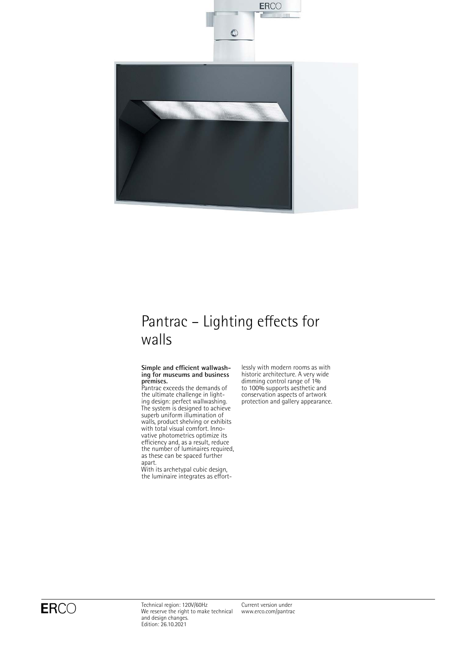

# Pantrac – Lighting effects for walls

### **Simple and efficient wallwashing for museums and business premises.**

Pantrac exceeds the demands of the ultimate challenge in lighting design: perfect wallwashing. The system is designed to achieve superb uniform illumination of walls, product shelving or exhibits with total visual comfort. Innovative photometrics optimize its efficiency and, as a result, reduce the number of luminaires required, as these can be spaced further apart.

With its archetypal cubic design, the luminaire integrates as effortlessly with modern rooms as with historic architecture. A very wide dimming control range of 1% to 100% supports aesthetic and conservation aspects of artwork protection and gallery appearance.

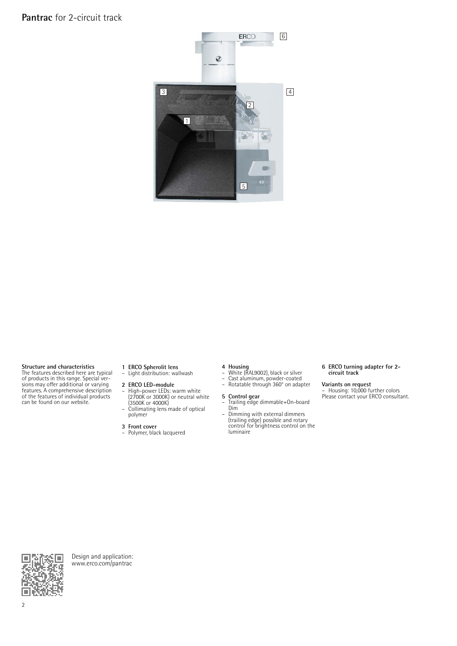## **Pantrac** for 2-circuit track



**Structure and characteristics** The features described here are typical of products in this range. Special ver-sions may offer additional or varying features. A comprehensive description of the features of individual products can be found on our website.

- **1 ERCO Spherolit lens** Light distribution: wallwash
- **2 ERCO LED-module**<br>- High-nower LEDs: w
- High-power LEDs: warm white (2700K or 3000K) or neutral white (3500K or 4000K)
- Collimating lens made of optical polymer

**3 Front cover** – Polymer, black lacquered

- 
- **4 Housing**<br>– White (RAL9002), black or silver<br>– Cast aluminum, powder-coated<br>– Rotatable through 360° on adapter
- 

- **5 Control gear** Trailing edge dimmable+On-board
- Dim Dimming with external dimmers (trailing edge) possible and rotary control for brightness control on the luminaire

### **6 ERCO turning adapter for 2 circuit track**

**Variants on request** – Housing: 10,000 further colors Please contact your ERCO consultant.



Design and application: [www.erco.com/pantrac](http://www.erco.com/pantrac)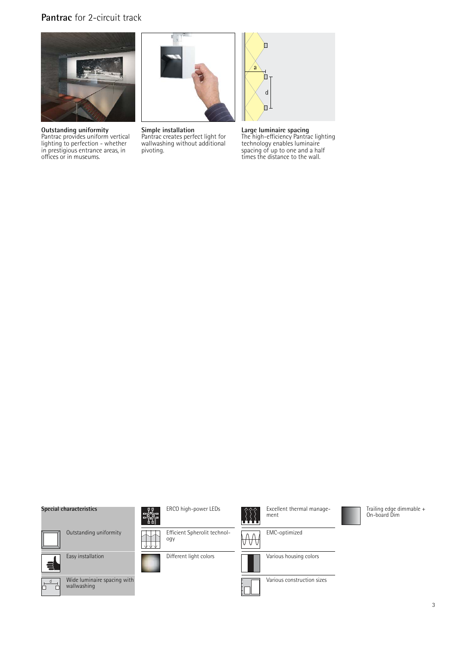## **Pantrac** for 2-circuit track



**Outstanding uniformity** Pantrac provides uniform vertical lighting to perfection - whether in prestigious entrance areas, in offices or in museums.



**Simple installation** Pantrac creates perfect light for wallwashing without additional pivoting.



**Large luminaire spacing** The high-efficiency Pantrac lighting technology enables luminaire spacing of up to one and a half times the distance to the wall.

### **Special characteristics**

Outstanding uniformity



Wide luminaire spacing with wallwashing



 $\overline{a}$ 

Easy installation



JJ<br>Tri 뺿

ERCO high-power LEDs



Different light colors



EMC-optimized



Various construction sizes

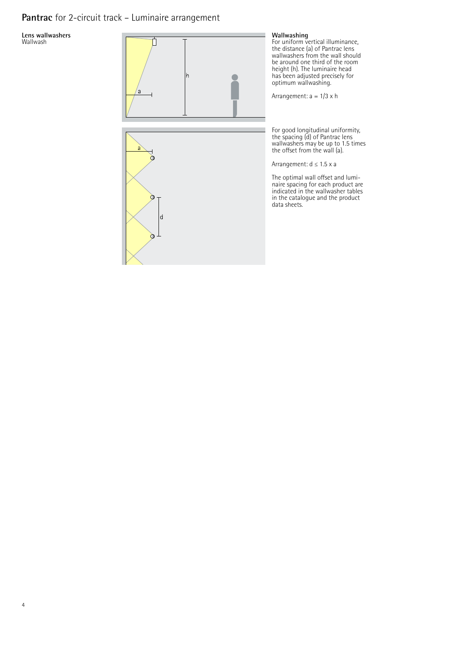# **Pantrac** for 2-circuit track – Luminaire arrangement

**Lens wallwashers** Wallwash

4



### **Wallwashing**

For uniform vertical illuminance, the distance (a) of Pantrac lens wallwashers from the wall should be around one third of the room height (h). The luminaire head has been adjusted precisely for optimum wallwashing.

Arrangement: a = 1/3 x h

For good longitudinal uniformity, the spacing (d) of Pantrac lens wallwashers may be up to 1.5 times the offset from the wall (a).

Arrangement: d ≤ 1.5 x a

The optimal wall offset and luminaire spacing for each product are indicated in the wallwasher tables in the catalogue and the product data sheets.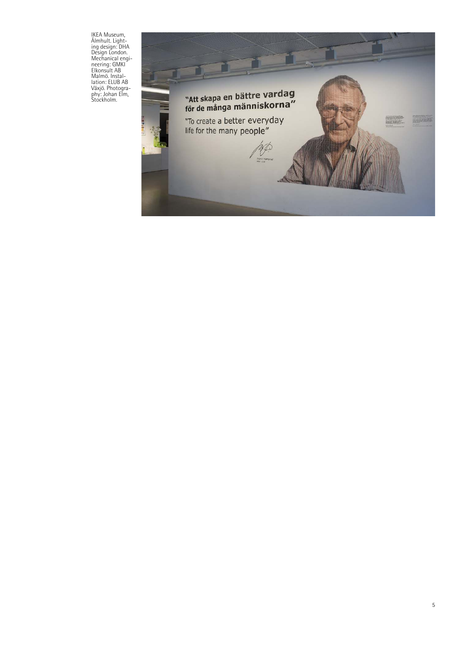IKEA Museum, Älmhult. Light-ing design: DHA Design London. Mechanical engi-neering: GMKI Elkonsult AB Malmö. Instal-lation: ELUB AB Växjö. Photogra-phy: Johan Elm, Stockholm.

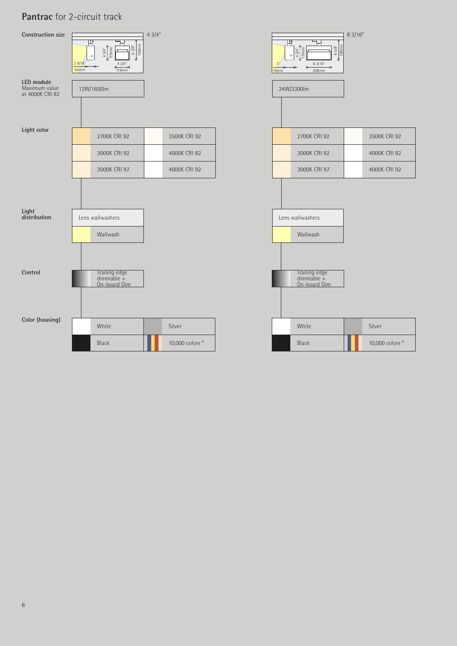# **Pantrac** for 2-circuit track

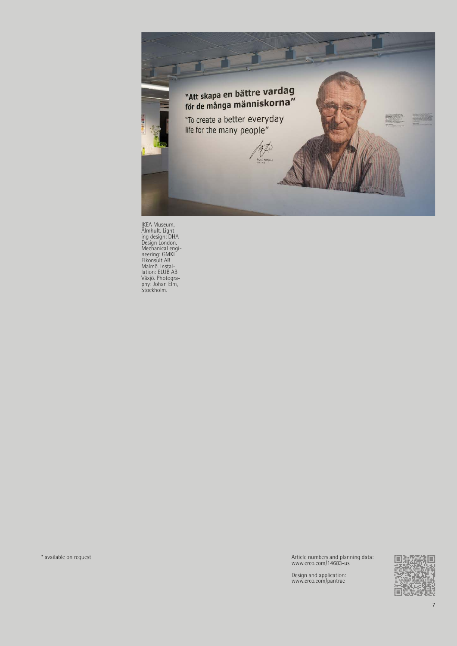

IKEA Museum,<br>
Almhult. Light-<br>ing design: DHA<br>
Design London.<br>
Mechanical engi-<br>
reering: GMKI<br>
Elkonsult AB<br>
Malmö. Instal-<br>
lation: ELUB AB<br>
Mayi, Dhotogra-<br>
phy: Johan Elm,<br>
Stockholm.

\* available on request Article numbers and planning data: www.erco.com/14683-us

Design and application: www.erco.com/pantrac